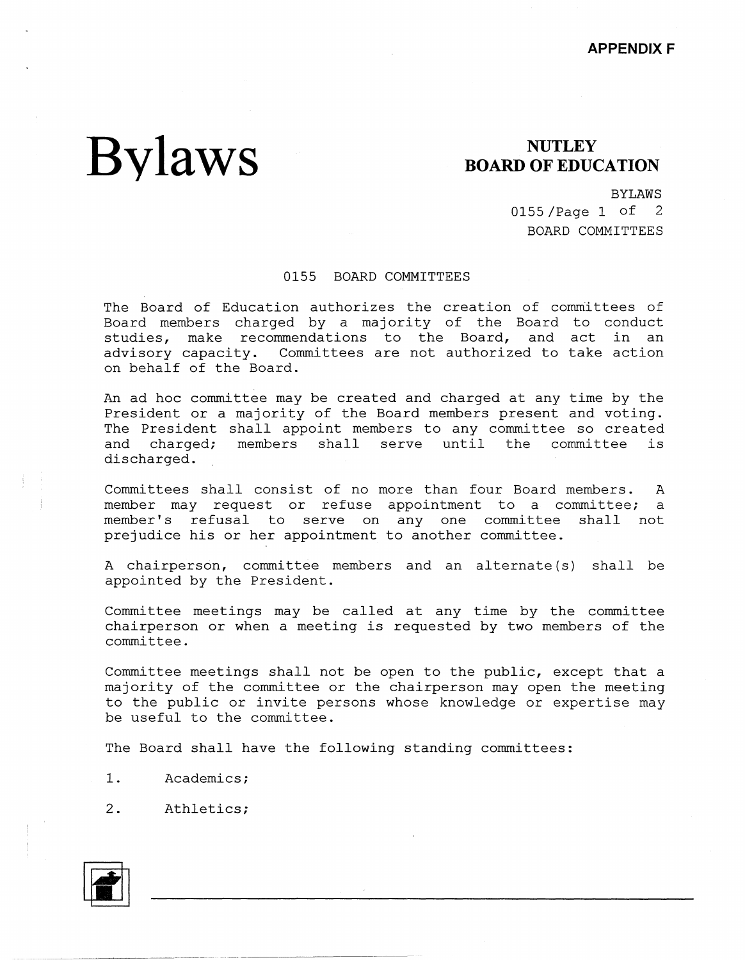## **Bylaws**

## **NUTLEY BOARD OF EDUCATION**

BYLAWS

0155 /Page 1 of 2 BOARD COMMITTEES

## 0155 BOARD COMMITTEES

The Board of Education authorizes the creation of committees of Board members charged by a majority of the Board to conduct studies, make recommendations to the Board, and act in an advisory capacity. Committees are not authorized to take action Committees are not authorized to take action on behalf of the Board.

An ad hoc committee may be created and charged at any time by the President or a majority of the Board members present and voting. The President shall appoint members to any committee so created and charged; members shall serve until the committee is discharged.

Committees shall consist of no more than four Board members. A member may request or refuse appointment to a committee; a member's refusal to serve on any one committee shall not prejudice his or her appointment to another committee.

A chairperson, committee members and an alternate (s) shall be appointed by the President.

Committee meetings may be called at any time by the committee chairperson or when a meeting is requested by two members of the committee.

Committee meetings shall not be open to the public, except that a majority of the committee or the chairperson may open the meeting to the public or invite persons whose knowledge or expertise may be useful to the committee.

The Board shall have the following standing committees:

- 1. Academics;
- 2. Athletics;